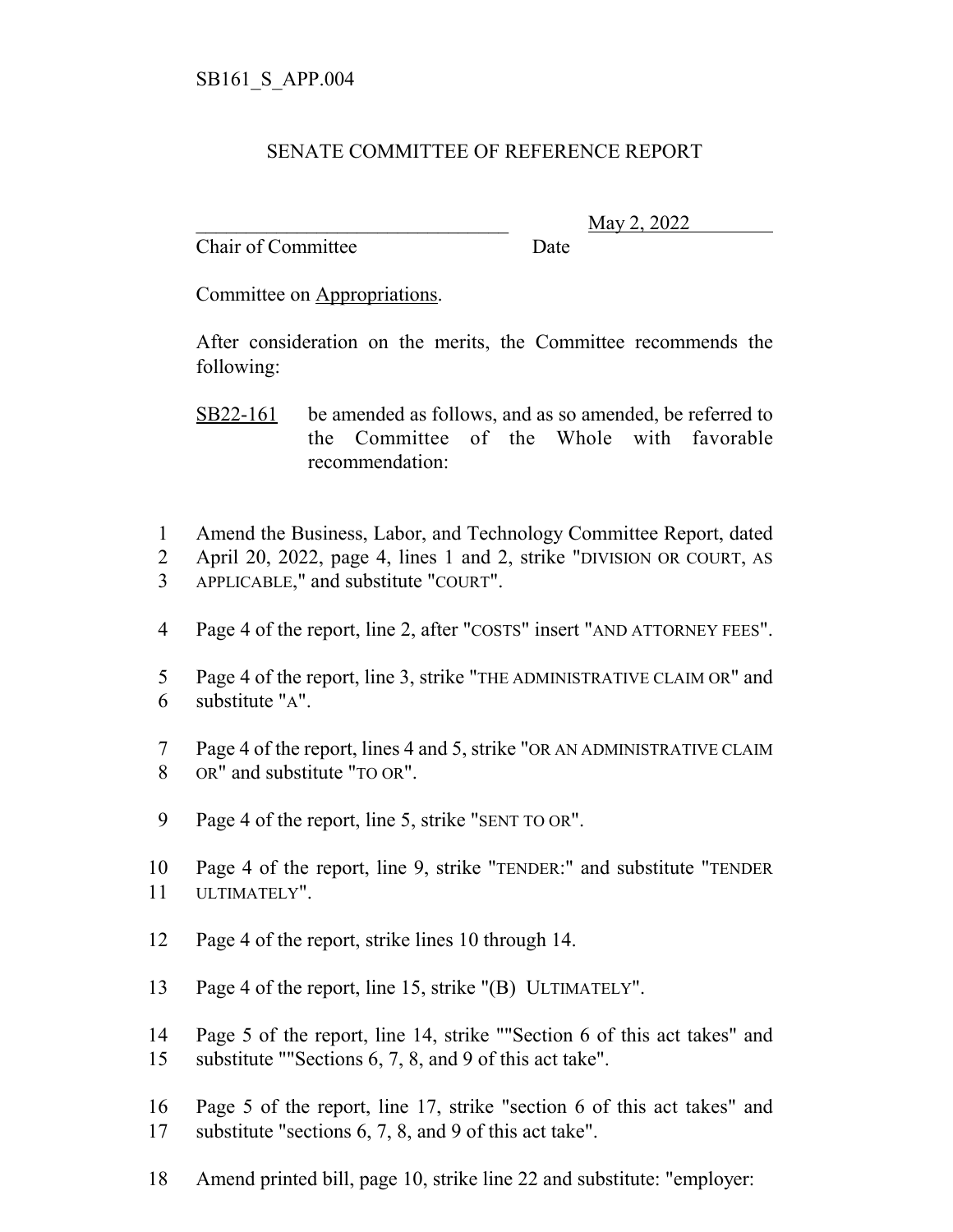## SENATE COMMITTEE OF REFERENCE REPORT

Chair of Committee Date

\_\_\_\_\_\_\_\_\_\_\_\_\_\_\_\_\_\_\_\_\_\_\_\_\_\_\_\_\_\_\_ May 2, 2022

Committee on Appropriations.

After consideration on the merits, the Committee recommends the following:

SB22-161 be amended as follows, and as so amended, be referred to the Committee of the Whole with favorable recommendation:

- Amend the Business, Labor, and Technology Committee Report, dated
- April 20, 2022, page 4, lines 1 and 2, strike "DIVISION OR COURT, AS APPLICABLE," and substitute "COURT".
- Page 4 of the report, line 2, after "COSTS" insert "AND ATTORNEY FEES".
- Page 4 of the report, line 3, strike "THE ADMINISTRATIVE CLAIM OR" and substitute "A".
- Page 4 of the report, lines 4 and 5, strike "OR AN ADMINISTRATIVE CLAIM OR" and substitute "TO OR".
- Page 4 of the report, line 5, strike "SENT TO OR".
- Page 4 of the report, line 9, strike "TENDER:" and substitute "TENDER ULTIMATELY".
- Page 4 of the report, strike lines 10 through 14.
- Page 4 of the report, line 15, strike "(B) ULTIMATELY".
- Page 5 of the report, line 14, strike ""Section 6 of this act takes" and substitute ""Sections 6, 7, 8, and 9 of this act take".
- Page 5 of the report, line 17, strike "section 6 of this act takes" and substitute "sections 6, 7, 8, and 9 of this act take".
- Amend printed bill, page 10, strike line 22 and substitute: "employer: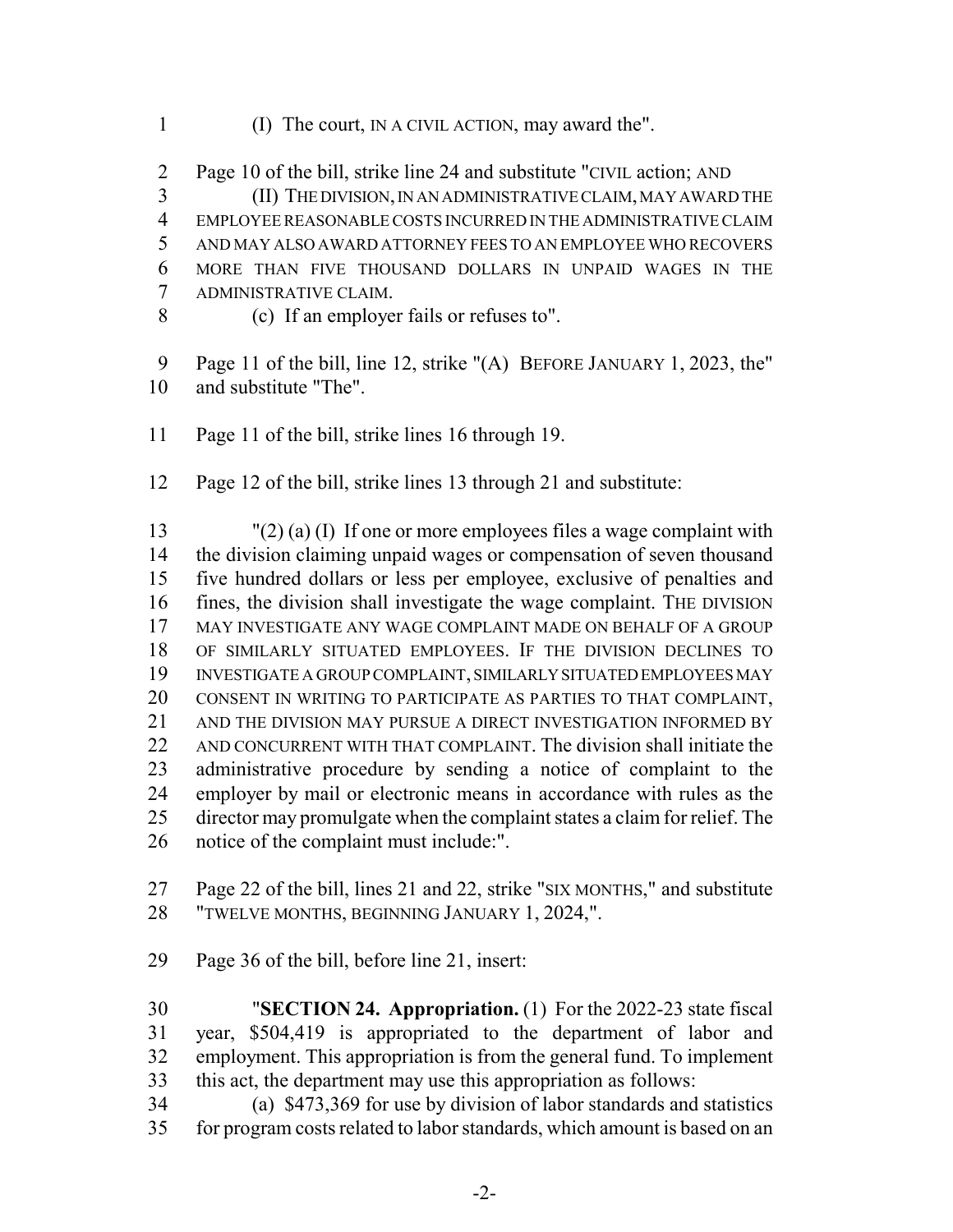- (I) The court, IN A CIVIL ACTION, may award the".
- Page 10 of the bill, strike line 24 and substitute "CIVIL action; AND

 (II) THE DIVISION, IN AN ADMINISTRATIVE CLAIM, MAY AWARD THE EMPLOYEE REASONABLE COSTS INCURRED IN THE ADMINISTRATIVE CLAIM AND MAY ALSO AWARD ATTORNEY FEES TO AN EMPLOYEE WHO RECOVERS MORE THAN FIVE THOUSAND DOLLARS IN UNPAID WAGES IN THE ADMINISTRATIVE CLAIM.

(c) If an employer fails or refuses to".

 Page 11 of the bill, line 12, strike "(A) BEFORE JANUARY 1, 2023, the" and substitute "The".

- Page 11 of the bill, strike lines 16 through 19.
- Page 12 of the bill, strike lines 13 through 21 and substitute:

 "(2) (a) (I) If one or more employees files a wage complaint with the division claiming unpaid wages or compensation of seven thousand five hundred dollars or less per employee, exclusive of penalties and fines, the division shall investigate the wage complaint. THE DIVISION MAY INVESTIGATE ANY WAGE COMPLAINT MADE ON BEHALF OF A GROUP OF SIMILARLY SITUATED EMPLOYEES. IF THE DIVISION DECLINES TO INVESTIGATE A GROUP COMPLAINT, SIMILARLY SITUATED EMPLOYEES MAY CONSENT IN WRITING TO PARTICIPATE AS PARTIES TO THAT COMPLAINT, AND THE DIVISION MAY PURSUE A DIRECT INVESTIGATION INFORMED BY AND CONCURRENT WITH THAT COMPLAINT. The division shall initiate the administrative procedure by sending a notice of complaint to the employer by mail or electronic means in accordance with rules as the director may promulgate when the complaint states a claim for relief. The notice of the complaint must include:".

 Page 22 of the bill, lines 21 and 22, strike "SIX MONTHS," and substitute "TWELVE MONTHS, BEGINNING JANUARY 1, 2024,".

Page 36 of the bill, before line 21, insert:

 "**SECTION 24. Appropriation.** (1) For the 2022-23 state fiscal year, \$504,419 is appropriated to the department of labor and employment. This appropriation is from the general fund. To implement this act, the department may use this appropriation as follows:

 (a) \$473,369 for use by division of labor standards and statistics for program costs related to labor standards, which amount is based on an